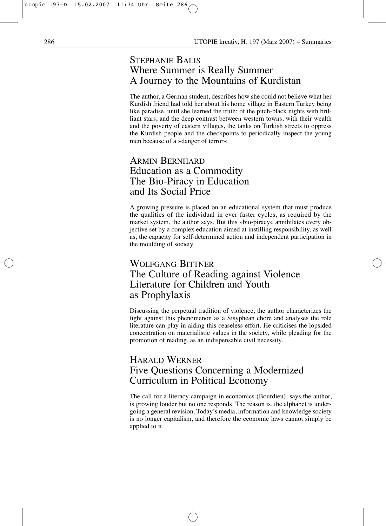# STEPHANIE BALIS Where Summer is Really Summer A Journey to the Mountains of Kurdistan

The author, a German student, describes how she could not believe what her Kurdish friend had told her about his home village in Eastern Turkey being like paradise, until she learned the truth: of the pitch-black nights with brilliant stars, and the deep contrast between western towns, with their wealth and the poverty of eastern villages, the tanks on Turkish streets to oppress the Kurdish people and the checkpoints to periodically inspect the young men because of a »danger of terror«.

### ARMIN BERNHARD Education as a Commodity The Bio-Piracy in Education and Its Social Price

A growing pressure is placed on an educational system that must produce the qualities of the individual in ever faster cycles, as required by the market system, the author says. But this »bio-piracy« annihilates every objective set by a complex education aimed at instilling responsibility, as well as, the capacity for self-determined action and independent participation in the moulding of society.

### WOLFGANG BITTNER The Culture of Reading against Violence Literature for Children and Youth as Prophylaxis

Discussing the perpetual tradition of violence, the author characterizes the fight against this phenomenon as a Sisyphean chore and analyses the role literature can play in aiding this ceaseless effort. He criticises the lopsided concentration on materialistic values in the society, while pleading for the promotion of reading, as an indispensable civil necessity.

# HARALD WERNER Five Questions Concerning a Modernized Curriculum in Political Economy

The call for a literacy campaign in economics (Bourdieu), says the author, is growing louder but no one responds. The reason is, the alphabet is undergoing a general revision. Today's media, information and knowledge society is no longer capitalism, and therefore the economic laws cannot simply be applied to it.